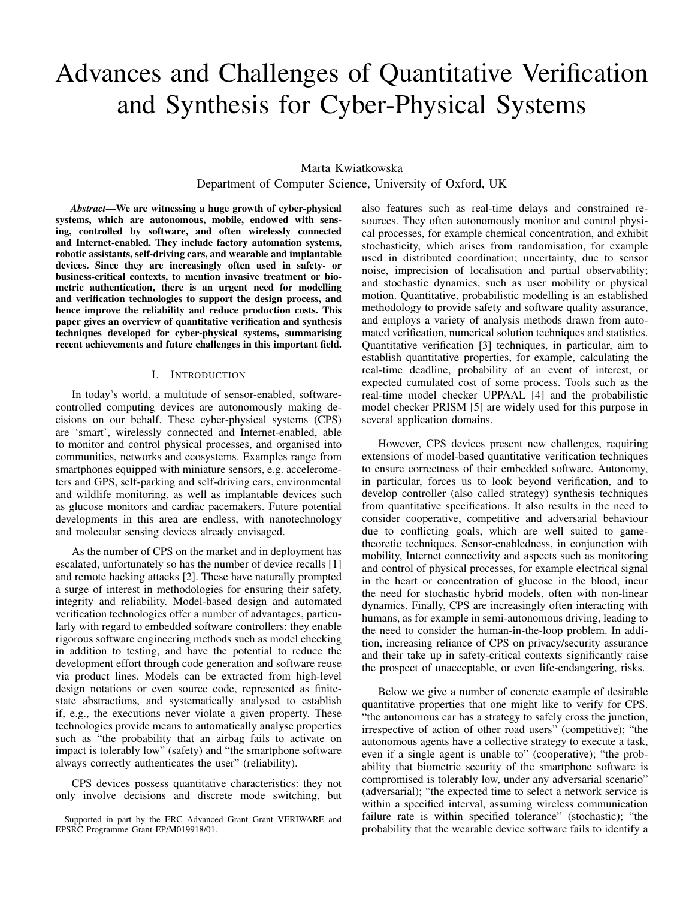# Advances and Challenges of Quantitative Verification and Synthesis for Cyber-Physical Systems

## Marta Kwiatkowska Department of Computer Science, University of Oxford, UK

*Abstract*—We are witnessing a huge growth of cyber-physical systems, which are autonomous, mobile, endowed with sensing, controlled by software, and often wirelessly connected and Internet-enabled. They include factory automation systems, robotic assistants, self-driving cars, and wearable and implantable devices. Since they are increasingly often used in safety- or business-critical contexts, to mention invasive treatment or biometric authentication, there is an urgent need for modelling and verification technologies to support the design process, and hence improve the reliability and reduce production costs. This paper gives an overview of quantitative verification and synthesis techniques developed for cyber-physical systems, summarising recent achievements and future challenges in this important field.

#### I. INTRODUCTION

In today's world, a multitude of sensor-enabled, softwarecontrolled computing devices are autonomously making decisions on our behalf. These cyber-physical systems (CPS) are 'smart', wirelessly connected and Internet-enabled, able to monitor and control physical processes, and organised into communities, networks and ecosystems. Examples range from smartphones equipped with miniature sensors, e.g. accelerometers and GPS, self-parking and self-driving cars, environmental and wildlife monitoring, as well as implantable devices such as glucose monitors and cardiac pacemakers. Future potential developments in this area are endless, with nanotechnology and molecular sensing devices already envisaged.

As the number of CPS on the market and in deployment has escalated, unfortunately so has the number of device recalls [1] and remote hacking attacks [2]. These have naturally prompted a surge of interest in methodologies for ensuring their safety, integrity and reliability. Model-based design and automated verification technologies offer a number of advantages, particularly with regard to embedded software controllers: they enable rigorous software engineering methods such as model checking in addition to testing, and have the potential to reduce the development effort through code generation and software reuse via product lines. Models can be extracted from high-level design notations or even source code, represented as finitestate abstractions, and systematically analysed to establish if, e.g., the executions never violate a given property. These technologies provide means to automatically analyse properties such as "the probability that an airbag fails to activate on impact is tolerably low" (safety) and "the smartphone software always correctly authenticates the user" (reliability).

CPS devices possess quantitative characteristics: they not only involve decisions and discrete mode switching, but also features such as real-time delays and constrained resources. They often autonomously monitor and control physical processes, for example chemical concentration, and exhibit stochasticity, which arises from randomisation, for example used in distributed coordination; uncertainty, due to sensor noise, imprecision of localisation and partial observability; and stochastic dynamics, such as user mobility or physical motion. Quantitative, probabilistic modelling is an established methodology to provide safety and software quality assurance, and employs a variety of analysis methods drawn from automated verification, numerical solution techniques and statistics. Quantitative verification [3] techniques, in particular, aim to establish quantitative properties, for example, calculating the real-time deadline, probability of an event of interest, or expected cumulated cost of some process. Tools such as the real-time model checker UPPAAL [4] and the probabilistic model checker PRISM [5] are widely used for this purpose in several application domains.

However, CPS devices present new challenges, requiring extensions of model-based quantitative verification techniques to ensure correctness of their embedded software. Autonomy, in particular, forces us to look beyond verification, and to develop controller (also called strategy) synthesis techniques from quantitative specifications. It also results in the need to consider cooperative, competitive and adversarial behaviour due to conflicting goals, which are well suited to gametheoretic techniques. Sensor-enabledness, in conjunction with mobility, Internet connectivity and aspects such as monitoring and control of physical processes, for example electrical signal in the heart or concentration of glucose in the blood, incur the need for stochastic hybrid models, often with non-linear dynamics. Finally, CPS are increasingly often interacting with humans, as for example in semi-autonomous driving, leading to the need to consider the human-in-the-loop problem. In addition, increasing reliance of CPS on privacy/security assurance and their take up in safety-critical contexts significantly raise the prospect of unacceptable, or even life-endangering, risks.

Below we give a number of concrete example of desirable quantitative properties that one might like to verify for CPS. "the autonomous car has a strategy to safely cross the junction, irrespective of action of other road users" (competitive); "the autonomous agents have a collective strategy to execute a task, even if a single agent is unable to" (cooperative); "the probability that biometric security of the smartphone software is compromised is tolerably low, under any adversarial scenario" (adversarial); "the expected time to select a network service is within a specified interval, assuming wireless communication failure rate is within specified tolerance" (stochastic); "the probability that the wearable device software fails to identify a

Supported in part by the ERC Advanced Grant Grant VERIWARE and EPSRC Programme Grant EP/M019918/01.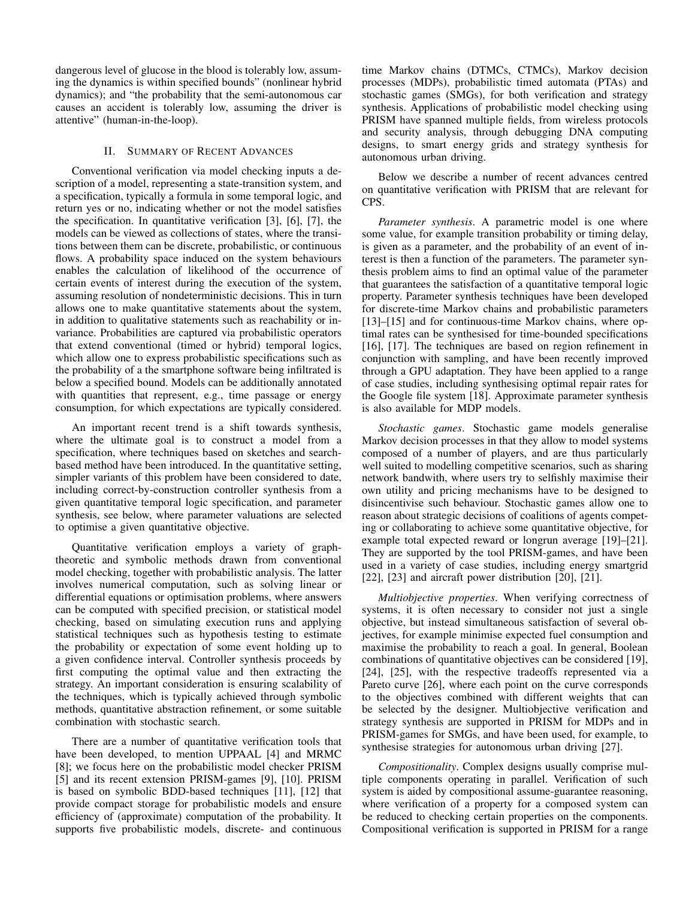dangerous level of glucose in the blood is tolerably low, assuming the dynamics is within specified bounds" (nonlinear hybrid dynamics); and "the probability that the semi-autonomous car causes an accident is tolerably low, assuming the driver is attentive" (human-in-the-loop).

### II. SUMMARY OF RECENT ADVANCES

Conventional verification via model checking inputs a description of a model, representing a state-transition system, and a specification, typically a formula in some temporal logic, and return yes or no, indicating whether or not the model satisfies the specification. In quantitative verification [3], [6], [7], the models can be viewed as collections of states, where the transitions between them can be discrete, probabilistic, or continuous flows. A probability space induced on the system behaviours enables the calculation of likelihood of the occurrence of certain events of interest during the execution of the system, assuming resolution of nondeterministic decisions. This in turn allows one to make quantitative statements about the system, in addition to qualitative statements such as reachability or invariance. Probabilities are captured via probabilistic operators that extend conventional (timed or hybrid) temporal logics, which allow one to express probabilistic specifications such as the probability of a the smartphone software being infiltrated is below a specified bound. Models can be additionally annotated with quantities that represent, e.g., time passage or energy consumption, for which expectations are typically considered.

An important recent trend is a shift towards synthesis, where the ultimate goal is to construct a model from a specification, where techniques based on sketches and searchbased method have been introduced. In the quantitative setting, simpler variants of this problem have been considered to date, including correct-by-construction controller synthesis from a given quantitative temporal logic specification, and parameter synthesis, see below, where parameter valuations are selected to optimise a given quantitative objective.

Quantitative verification employs a variety of graphtheoretic and symbolic methods drawn from conventional model checking, together with probabilistic analysis. The latter involves numerical computation, such as solving linear or differential equations or optimisation problems, where answers can be computed with specified precision, or statistical model checking, based on simulating execution runs and applying statistical techniques such as hypothesis testing to estimate the probability or expectation of some event holding up to a given confidence interval. Controller synthesis proceeds by first computing the optimal value and then extracting the strategy. An important consideration is ensuring scalability of the techniques, which is typically achieved through symbolic methods, quantitative abstraction refinement, or some suitable combination with stochastic search.

There are a number of quantitative verification tools that have been developed, to mention UPPAAL [4] and MRMC [8]; we focus here on the probabilistic model checker PRISM [5] and its recent extension PRISM-games [9], [10]. PRISM is based on symbolic BDD-based techniques [11], [12] that provide compact storage for probabilistic models and ensure efficiency of (approximate) computation of the probability. It supports five probabilistic models, discrete- and continuous time Markov chains (DTMCs, CTMCs), Markov decision processes (MDPs), probabilistic timed automata (PTAs) and stochastic games (SMGs), for both verification and strategy synthesis. Applications of probabilistic model checking using PRISM have spanned multiple fields, from wireless protocols and security analysis, through debugging DNA computing designs, to smart energy grids and strategy synthesis for autonomous urban driving.

Below we describe a number of recent advances centred on quantitative verification with PRISM that are relevant for CPS.

*Parameter synthesis*. A parametric model is one where some value, for example transition probability or timing delay, is given as a parameter, and the probability of an event of interest is then a function of the parameters. The parameter synthesis problem aims to find an optimal value of the parameter that guarantees the satisfaction of a quantitative temporal logic property. Parameter synthesis techniques have been developed for discrete-time Markov chains and probabilistic parameters [13]–[15] and for continuous-time Markov chains, where optimal rates can be synthesised for time-bounded specifications [16], [17]. The techniques are based on region refinement in conjunction with sampling, and have been recently improved through a GPU adaptation. They have been applied to a range of case studies, including synthesising optimal repair rates for the Google file system [18]. Approximate parameter synthesis is also available for MDP models.

*Stochastic games*. Stochastic game models generalise Markov decision processes in that they allow to model systems composed of a number of players, and are thus particularly well suited to modelling competitive scenarios, such as sharing network bandwith, where users try to selfishly maximise their own utility and pricing mechanisms have to be designed to disincentivise such behaviour. Stochastic games allow one to reason about strategic decisions of coalitions of agents competing or collaborating to achieve some quantitative objective, for example total expected reward or longrun average [19]–[21]. They are supported by the tool PRISM-games, and have been used in a variety of case studies, including energy smartgrid [22], [23] and aircraft power distribution [20], [21].

*Multiobjective properties*. When verifying correctness of systems, it is often necessary to consider not just a single objective, but instead simultaneous satisfaction of several objectives, for example minimise expected fuel consumption and maximise the probability to reach a goal. In general, Boolean combinations of quantitative objectives can be considered [19], [24], [25], with the respective tradeoffs represented via a Pareto curve [26], where each point on the curve corresponds to the objectives combined with different weights that can be selected by the designer. Multiobjective verification and strategy synthesis are supported in PRISM for MDPs and in PRISM-games for SMGs, and have been used, for example, to synthesise strategies for autonomous urban driving [27].

*Compositionality*. Complex designs usually comprise multiple components operating in parallel. Verification of such system is aided by compositional assume-guarantee reasoning, where verification of a property for a composed system can be reduced to checking certain properties on the components. Compositional verification is supported in PRISM for a range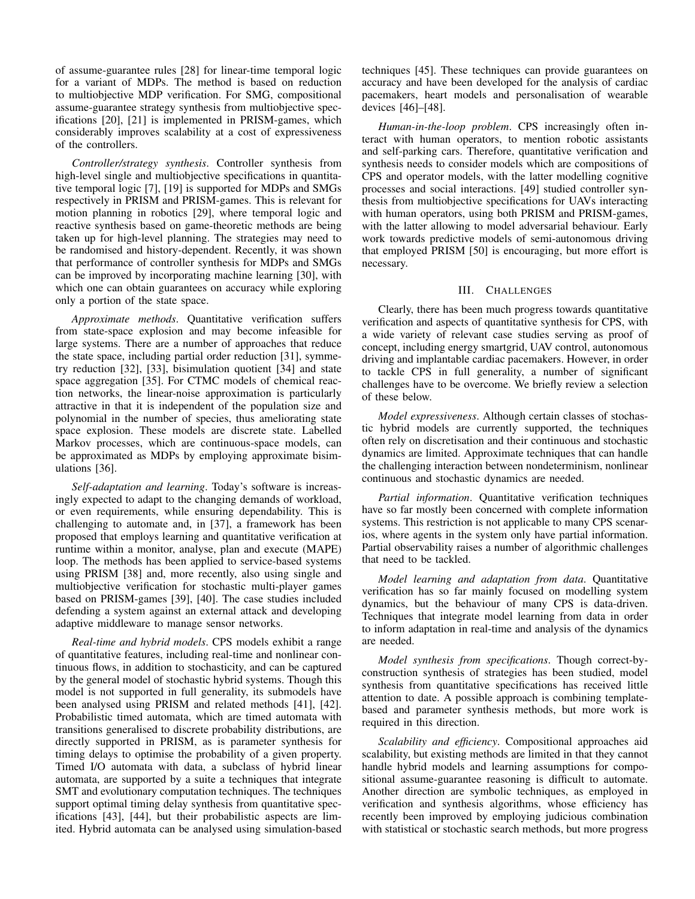of assume-guarantee rules [28] for linear-time temporal logic for a variant of MDPs. The method is based on reduction to multiobjective MDP verification. For SMG, compositional assume-guarantee strategy synthesis from multiobjective specifications [20], [21] is implemented in PRISM-games, which considerably improves scalability at a cost of expressiveness of the controllers.

*Controller/strategy synthesis*. Controller synthesis from high-level single and multiobjective specifications in quantitative temporal logic [7], [19] is supported for MDPs and SMGs respectively in PRISM and PRISM-games. This is relevant for motion planning in robotics [29], where temporal logic and reactive synthesis based on game-theoretic methods are being taken up for high-level planning. The strategies may need to be randomised and history-dependent. Recently, it was shown that performance of controller synthesis for MDPs and SMGs can be improved by incorporating machine learning [30], with which one can obtain guarantees on accuracy while exploring only a portion of the state space.

*Approximate methods*. Quantitative verification suffers from state-space explosion and may become infeasible for large systems. There are a number of approaches that reduce the state space, including partial order reduction [31], symmetry reduction [32], [33], bisimulation quotient [34] and state space aggregation [35]. For CTMC models of chemical reaction networks, the linear-noise approximation is particularly attractive in that it is independent of the population size and polynomial in the number of species, thus ameliorating state space explosion. These models are discrete state. Labelled Markov processes, which are continuous-space models, can be approximated as MDPs by employing approximate bisimulations [36].

*Self-adaptation and learning*. Today's software is increasingly expected to adapt to the changing demands of workload, or even requirements, while ensuring dependability. This is challenging to automate and, in [37], a framework has been proposed that employs learning and quantitative verification at runtime within a monitor, analyse, plan and execute (MAPE) loop. The methods has been applied to service-based systems using PRISM [38] and, more recently, also using single and multiobjective verification for stochastic multi-player games based on PRISM-games [39], [40]. The case studies included defending a system against an external attack and developing adaptive middleware to manage sensor networks.

*Real-time and hybrid models*. CPS models exhibit a range of quantitative features, including real-time and nonlinear continuous flows, in addition to stochasticity, and can be captured by the general model of stochastic hybrid systems. Though this model is not supported in full generality, its submodels have been analysed using PRISM and related methods [41], [42]. Probabilistic timed automata, which are timed automata with transitions generalised to discrete probability distributions, are directly supported in PRISM, as is parameter synthesis for timing delays to optimise the probability of a given property. Timed I/O automata with data, a subclass of hybrid linear automata, are supported by a suite a techniques that integrate SMT and evolutionary computation techniques. The techniques support optimal timing delay synthesis from quantitative specifications [43], [44], but their probabilistic aspects are limited. Hybrid automata can be analysed using simulation-based techniques [45]. These techniques can provide guarantees on accuracy and have been developed for the analysis of cardiac pacemakers, heart models and personalisation of wearable devices [46]–[48].

*Human-in-the-loop problem*. CPS increasingly often interact with human operators, to mention robotic assistants and self-parking cars. Therefore, quantitative verification and synthesis needs to consider models which are compositions of CPS and operator models, with the latter modelling cognitive processes and social interactions. [49] studied controller synthesis from multiobjective specifications for UAVs interacting with human operators, using both PRISM and PRISM-games, with the latter allowing to model adversarial behaviour. Early work towards predictive models of semi-autonomous driving that employed PRISM [50] is encouraging, but more effort is necessary.

### III. CHALLENGES

Clearly, there has been much progress towards quantitative verification and aspects of quantitative synthesis for CPS, with a wide variety of relevant case studies serving as proof of concept, including energy smartgrid, UAV control, autonomous driving and implantable cardiac pacemakers. However, in order to tackle CPS in full generality, a number of significant challenges have to be overcome. We briefly review a selection of these below.

*Model expressiveness*. Although certain classes of stochastic hybrid models are currently supported, the techniques often rely on discretisation and their continuous and stochastic dynamics are limited. Approximate techniques that can handle the challenging interaction between nondeterminism, nonlinear continuous and stochastic dynamics are needed.

*Partial information*. Quantitative verification techniques have so far mostly been concerned with complete information systems. This restriction is not applicable to many CPS scenarios, where agents in the system only have partial information. Partial observability raises a number of algorithmic challenges that need to be tackled.

*Model learning and adaptation from data*. Quantitative verification has so far mainly focused on modelling system dynamics, but the behaviour of many CPS is data-driven. Techniques that integrate model learning from data in order to inform adaptation in real-time and analysis of the dynamics are needed.

*Model synthesis from specifications*. Though correct-byconstruction synthesis of strategies has been studied, model synthesis from quantitative specifications has received little attention to date. A possible approach is combining templatebased and parameter synthesis methods, but more work is required in this direction.

*Scalability and efficiency*. Compositional approaches aid scalability, but existing methods are limited in that they cannot handle hybrid models and learning assumptions for compositional assume-guarantee reasoning is difficult to automate. Another direction are symbolic techniques, as employed in verification and synthesis algorithms, whose efficiency has recently been improved by employing judicious combination with statistical or stochastic search methods, but more progress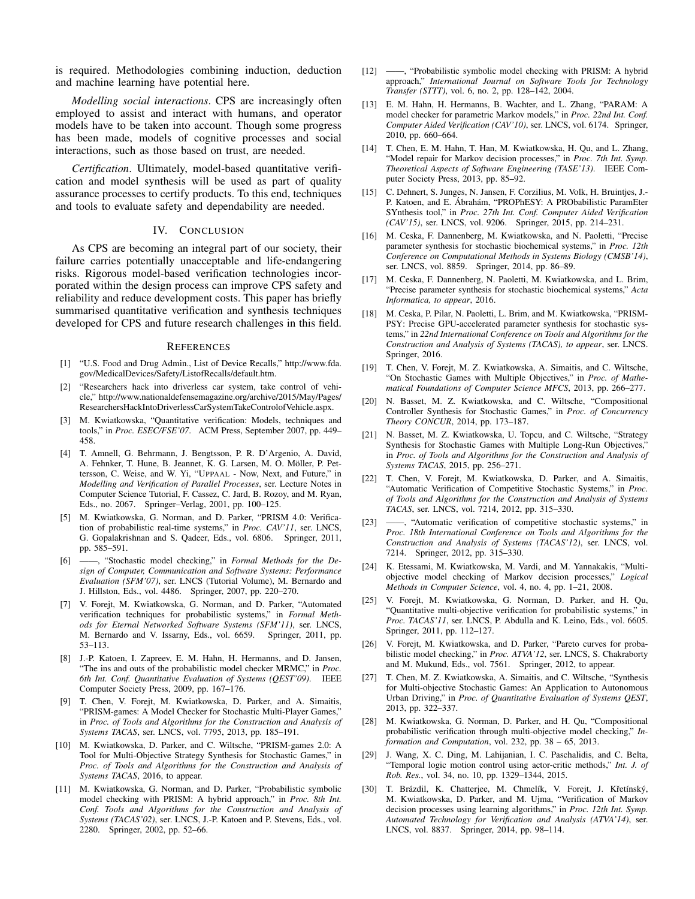is required. Methodologies combining induction, deduction and machine learning have potential here.

*Modelling social interactions*. CPS are increasingly often employed to assist and interact with humans, and operator models have to be taken into account. Though some progress has been made, models of cognitive processes and social interactions, such as those based on trust, are needed.

*Certification*. Ultimately, model-based quantitative verification and model synthesis will be used as part of quality assurance processes to certify products. To this end, techniques and tools to evaluate safety and dependability are needed.

### IV. CONCLUSION

As CPS are becoming an integral part of our society, their failure carries potentially unacceptable and life-endangering risks. Rigorous model-based verification technologies incorporated within the design process can improve CPS safety and reliability and reduce development costs. This paper has briefly summarised quantitative verification and synthesis techniques developed for CPS and future research challenges in this field.

#### **REFERENCES**

- [1] "U.S. Food and Drug Admin., List of Device Recalls," http://www.fda. gov/MedicalDevices/Safety/ListofRecalls/default.htm.
- [2] "Researchers hack into driverless car system, take control of vehicle," http://www.nationaldefensemagazine.org/archive/2015/May/Pages/ ResearchersHackIntoDriverlessCarSystemTakeControlofVehicle.aspx.
- [3] M. Kwiatkowska, "Quantitative verification: Models, techniques and tools," in *Proc. ESEC/FSE'07*. ACM Press, September 2007, pp. 449– 458.
- [4] T. Amnell, G. Behrmann, J. Bengtsson, P. R. D'Argenio, A. David, A. Fehnker, T. Hune, B. Jeannet, K. G. Larsen, M. O. Möller, P. Pettersson, C. Weise, and W. Yi, "UPPAAL - Now, Next, and Future," in *Modelling and Verification of Parallel Processes*, ser. Lecture Notes in Computer Science Tutorial, F. Cassez, C. Jard, B. Rozoy, and M. Ryan, Eds., no. 2067. Springer–Verlag, 2001, pp. 100–125.
- [5] M. Kwiatkowska, G. Norman, and D. Parker, "PRISM 4.0: Verification of probabilistic real-time systems," in *Proc. CAV'11*, ser. LNCS, G. Gopalakrishnan and S. Qadeer, Eds., vol. 6806. Springer, 2011, pp. 585–591.
- [6] ——, "Stochastic model checking," in *Formal Methods for the Design of Computer, Communication and Software Systems: Performance Evaluation (SFM'07)*, ser. LNCS (Tutorial Volume), M. Bernardo and J. Hillston, Eds., vol. 4486. Springer, 2007, pp. 220–270.
- [7] V. Forejt, M. Kwiatkowska, G. Norman, and D. Parker, "Automated verification techniques for probabilistic systems," in *Formal Methods for Eternal Networked Software Systems (SFM'11)*, ser. LNCS, M. Bernardo and V. Issarny, Eds., vol. 6659. 53–113.
- [8] J.-P. Katoen, I. Zapreev, E. M. Hahn, H. Hermanns, and D. Jansen, "The ins and outs of the probabilistic model checker MRMC," in *Proc. 6th Int. Conf. Quantitative Evaluation of Systems (QEST'09)*. IEEE Computer Society Press, 2009, pp. 167–176.
- [9] T. Chen, V. Foreit, M. Kwiatkowska, D. Parker, and A. Simaitis, "PRISM-games: A Model Checker for Stochastic Multi-Player Games," in *Proc. of Tools and Algorithms for the Construction and Analysis of Systems TACAS*, ser. LNCS, vol. 7795, 2013, pp. 185–191.
- [10] M. Kwiatkowska, D. Parker, and C. Wiltsche, "PRISM-games 2.0: A Tool for Multi-Objective Strategy Synthesis for Stochastic Games," in *Proc. of Tools and Algorithms for the Construction and Analysis of Systems TACAS*, 2016, to appear.
- [11] M. Kwiatkowska, G. Norman, and D. Parker, "Probabilistic symbolic model checking with PRISM: A hybrid approach," in *Proc. 8th Int. Conf. Tools and Algorithms for the Construction and Analysis of Systems (TACAS'02)*, ser. LNCS, J.-P. Katoen and P. Stevens, Eds., vol. 2280. Springer, 2002, pp. 52–66.
- [12] ——, "Probabilistic symbolic model checking with PRISM: A hybrid approach," *International Journal on Software Tools for Technology Transfer (STTT)*, vol. 6, no. 2, pp. 128–142, 2004.
- [13] E. M. Hahn, H. Hermanns, B. Wachter, and L. Zhang, "PARAM: A model checker for parametric Markov models," in *Proc. 22nd Int. Conf. Computer Aided Verification (CAV'10)*, ser. LNCS, vol. 6174. Springer, 2010, pp. 660–664.
- [14] T. Chen, E. M. Hahn, T. Han, M. Kwiatkowska, H. Qu, and L. Zhang, "Model repair for Markov decision processes," in *Proc. 7th Int. Symp. Theoretical Aspects of Software Engineering (TASE'13)*. IEEE Computer Society Press, 2013, pp. 85–92.
- [15] C. Dehnert, S. Junges, N. Jansen, F. Corzilius, M. Volk, H. Bruintjes, J.-P. Katoen, and E. Ábrahám, "PROPhESY: A PRObabilistic ParamEter SYnthesis tool," in *Proc. 27th Int. Conf. Computer Aided Verification (CAV'15)*, ser. LNCS, vol. 9206. Springer, 2015, pp. 214–231.
- [16] M. Ceska, F. Dannenberg, M. Kwiatkowska, and N. Paoletti, "Precise parameter synthesis for stochastic biochemical systems," in *Proc. 12th Conference on Computational Methods in Systems Biology (CMSB'14)*, ser. LNCS, vol. 8859. Springer, 2014, pp. 86–89.
- [17] M. Ceska, F. Dannenberg, N. Paoletti, M. Kwiatkowska, and L. Brim, "Precise parameter synthesis for stochastic biochemical systems," *Acta Informatica, to appear*, 2016.
- [18] M. Ceska, P. Pilar, N. Paoletti, L. Brim, and M. Kwiatkowska, "PRISM-PSY: Precise GPU-accelerated parameter synthesis for stochastic systems," in *22nd International Conference on Tools and Algorithms for the Construction and Analysis of Systems (TACAS), to appear*, ser. LNCS. Springer, 2016.
- [19] T. Chen, V. Forejt, M. Z. Kwiatkowska, A. Simaitis, and C. Wiltsche, "On Stochastic Games with Multiple Objectives," in *Proc. of Mathematical Foundations of Computer Science MFCS*, 2013, pp. 266–277.
- [20] N. Basset, M. Z. Kwiatkowska, and C. Wiltsche, "Compositional Controller Synthesis for Stochastic Games," in *Proc. of Concurrency Theory CONCUR*, 2014, pp. 173–187.
- [21] N. Basset, M. Z. Kwiatkowska, U. Topcu, and C. Wiltsche, "Strategy Synthesis for Stochastic Games with Multiple Long-Run Objectives,' in *Proc. of Tools and Algorithms for the Construction and Analysis of Systems TACAS*, 2015, pp. 256–271.
- [22] T. Chen, V. Forejt, M. Kwiatkowska, D. Parker, and A. Simaitis, "Automatic Verification of Competitive Stochastic Systems," in *Proc. of Tools and Algorithms for the Construction and Analysis of Systems TACAS*, ser. LNCS, vol. 7214, 2012, pp. 315–330.
- [23] ——, "Automatic verification of competitive stochastic systems," in *Proc. 18th International Conference on Tools and Algorithms for the Construction and Analysis of Systems (TACAS'12)*, ser. LNCS, vol. 7214. Springer, 2012, pp. 315–330.
- [24] K. Etessami, M. Kwiatkowska, M. Vardi, and M. Yannakakis, "Multiobjective model checking of Markov decision processes," *Logical Methods in Computer Science*, vol. 4, no. 4, pp. 1–21, 2008.
- [25] V. Forejt, M. Kwiatkowska, G. Norman, D. Parker, and H. Qu, "Quantitative multi-objective verification for probabilistic systems," in *Proc. TACAS'11*, ser. LNCS, P. Abdulla and K. Leino, Eds., vol. 6605. Springer, 2011, pp. 112–127.
- [26] V. Forejt, M. Kwiatkowska, and D. Parker, "Pareto curves for probabilistic model checking," in *Proc. ATVA'12*, ser. LNCS, S. Chakraborty and M. Mukund, Eds., vol. 7561. Springer, 2012, to appear.
- [27] T. Chen, M. Z. Kwiatkowska, A. Simaitis, and C. Wiltsche, "Synthesis" for Multi-objective Stochastic Games: An Application to Autonomous Urban Driving," in *Proc. of Quantitative Evaluation of Systems QEST*, 2013, pp. 322–337.
- [28] M. Kwiatkowska, G. Norman, D. Parker, and H. Qu, "Compositional probabilistic verification through multi-objective model checking," *Information and Computation*, vol. 232, pp. 38 – 65, 2013.
- [29] J. Wang, X. C. Ding, M. Lahijanian, I. C. Paschalidis, and C. Belta, "Temporal logic motion control using actor-critic methods," *Int. J. of Rob. Res.*, vol. 34, no. 10, pp. 1329–1344, 2015.
- [30] T. Brázdil, K. Chatterjee, M. Chmelík, V. Forejt, J. Křetínský, M. Kwiatkowska, D. Parker, and M. Ujma, "Verification of Markov decision processes using learning algorithms," in *Proc. 12th Int. Symp. Automated Technology for Verification and Analysis (ATVA'14)*, ser. LNCS, vol. 8837. Springer, 2014, pp. 98–114.